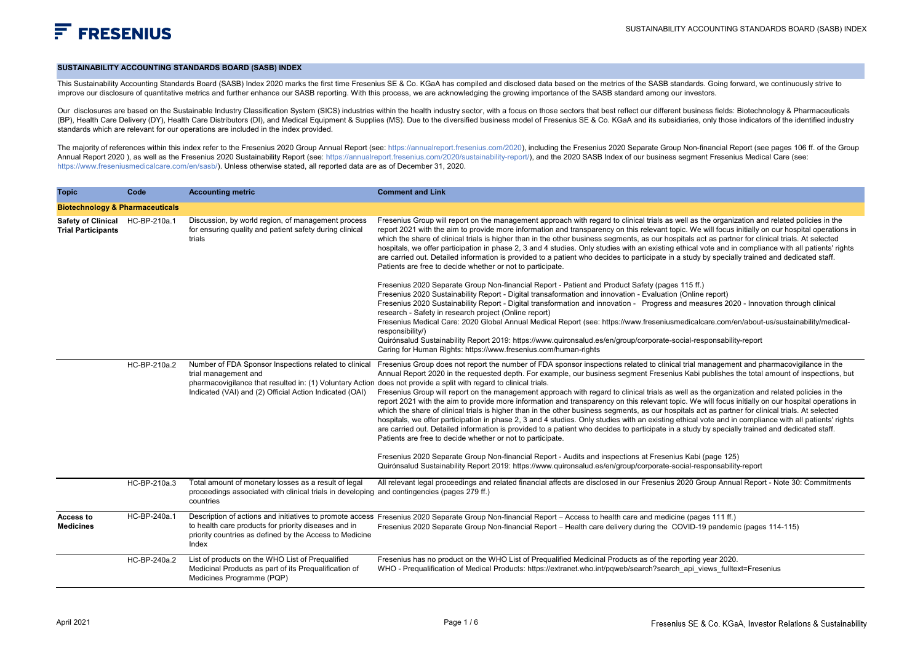## **SUSTAINABILITY ACCOUNTING STANDARDS BOARD (SASB) INDEX**

This Sustainability Accounting Standards Board (SASB) Index 2020 marks the first time Fresenius SE & Co. KGaA has compiled and disclosed data based on the metrics of the SASB standards. Going forward, we continuously striv improve our disclosure of quantitative metrics and further enhance our SASB reporting. With this process, we are acknowledging the growing importance of the SASB standard among our investors.

Our disclosures are based on the Sustainable Industry Classification System (SICS) industries within the health industry sector, with a focus on those sectors that best reflect our different business fields: Biotechnology (BP), Health Care Delivery (DY), Health Care Distributors (DI), and Medical Equipment & Supplies (MS). Due to the diversified business model of Fresenius SE & Co. KGaA and its subsidiaries, only those indicators of the ide standards which are relevant for our operations are included in the index provided.

The maiority of references within this index refer to the Fresenius 2020 Group Annual Report (see: https://annualreport.fresenius.com/2020). including the Fresenius 2020 Separate Group Non-financial Report (see pages 106 f Annual Report 2020 ), as well as the Fresenius 2020 Sustainability Report (see: https://annualreport.fresenius.com/2020/sustainability-report/), and the 2020 SASB Index of our business segment Fresenius Medical Care (see: https://www.freseniusmedicalcare.com/en/sasb/). Unless otherwise stated, all reported data are as of December 31, 2020.

| <b>Topic</b>                                                 | Code         | <b>Accounting metric</b>                                                                                                                                                                                                                                      | <b>Comment and Link</b>                                                                                                                                                                                                                                                                                                                                                                                                                                                                                                                                                                                                                                                                                                                                                                                                                                                                                                                                                                                                                                                                                                                                                                                                                                                                                                                                                                              |
|--------------------------------------------------------------|--------------|---------------------------------------------------------------------------------------------------------------------------------------------------------------------------------------------------------------------------------------------------------------|------------------------------------------------------------------------------------------------------------------------------------------------------------------------------------------------------------------------------------------------------------------------------------------------------------------------------------------------------------------------------------------------------------------------------------------------------------------------------------------------------------------------------------------------------------------------------------------------------------------------------------------------------------------------------------------------------------------------------------------------------------------------------------------------------------------------------------------------------------------------------------------------------------------------------------------------------------------------------------------------------------------------------------------------------------------------------------------------------------------------------------------------------------------------------------------------------------------------------------------------------------------------------------------------------------------------------------------------------------------------------------------------------|
| <b>Biotechnology &amp; Pharmaceuticals</b>                   |              |                                                                                                                                                                                                                                                               |                                                                                                                                                                                                                                                                                                                                                                                                                                                                                                                                                                                                                                                                                                                                                                                                                                                                                                                                                                                                                                                                                                                                                                                                                                                                                                                                                                                                      |
| Safety of Clinical HC-BP-210a.1<br><b>Trial Participants</b> |              | Discussion, by world region, of management process<br>for ensuring quality and patient safety during clinical<br>trials                                                                                                                                       | Fresenius Group will report on the management approach with regard to clinical trials as well as the organization and related policies in the<br>report 2021 with the aim to provide more information and transparency on this relevant topic. We will focus initially on our hospital operations in<br>which the share of clinical trials is higher than in the other business segments, as our hospitals act as partner for clinical trials. At selected<br>hospitals, we offer participation in phase 2, 3 and 4 studies. Only studies with an existing ethical vote and in compliance with all patients' rights<br>are carried out. Detailed information is provided to a patient who decides to participate in a study by specially trained and dedicated staff.<br>Patients are free to decide whether or not to participate.<br>Fresenius 2020 Separate Group Non-financial Report - Patient and Product Safety (pages 115 ff.)<br>Fresenius 2020 Sustainability Report - Digital transaformation and innovation - Evaluation (Online report)<br>Fresenius 2020 Sustainability Report - Digital transformation and innovation - Progress and measures 2020 - Innovation through clinical<br>research - Safety in research project (Online report)<br>Fresenius Medical Care: 2020 Global Annual Medical Report (see: https://www.freseniusmedicalcare.com/en/about-us/sustainability/medical- |
|                                                              |              |                                                                                                                                                                                                                                                               | responsibility/)<br>Quirónsalud Sustainability Report 2019: https://www.quironsalud.es/en/qroup/corporate-social-responsability-report<br>Caring for Human Rights: https://www.fresenius.com/human-rights                                                                                                                                                                                                                                                                                                                                                                                                                                                                                                                                                                                                                                                                                                                                                                                                                                                                                                                                                                                                                                                                                                                                                                                            |
|                                                              | HC-BP-210a.2 | Number of FDA Sponsor Inspections related to clinical<br>trial management and<br>pharmacovigilance that resulted in: (1) Voluntary Action does not provide a split with regard to clinical trials.<br>Indicated (VAI) and (2) Official Action Indicated (OAI) | Fresenius Group does not report the number of FDA sponsor inspections related to clinical trial management and pharmacovigilance in the<br>Annual Report 2020 in the requested depth. For example, our business segment Fresenius Kabi publishes the total amount of inspections, but<br>Fresenius Group will report on the management approach with regard to clinical trials as well as the organization and related policies in the<br>report 2021 with the aim to provide more information and transparency on this relevant topic. We will focus initially on our hospital operations in<br>which the share of clinical trials is higher than in the other business segments, as our hospitals act as partner for clinical trials. At selected<br>hospitals, we offer participation in phase 2, 3 and 4 studies. Only studies with an existing ethical vote and in compliance with all patients' rights<br>are carried out. Detailed information is provided to a patient who decides to participate in a study by specially trained and dedicated staff.<br>Patients are free to decide whether or not to participate.                                                                                                                                                                                                                                                                         |
|                                                              |              |                                                                                                                                                                                                                                                               | Fresenius 2020 Separate Group Non-financial Report - Audits and inspections at Fresenius Kabi (page 125)<br>Quirónsalud Sustainability Report 2019: https://www.quironsalud.es/en/group/corporate-social-responsability-report                                                                                                                                                                                                                                                                                                                                                                                                                                                                                                                                                                                                                                                                                                                                                                                                                                                                                                                                                                                                                                                                                                                                                                       |
|                                                              | HC-BP-210a.3 | Total amount of monetary losses as a result of legal<br>proceedings associated with clinical trials in developing and contingencies (pages 279 ff.)<br>countries                                                                                              | All relevant legal proceedings and related financial affects are disclosed in our Fresenius 2020 Group Annual Report - Note 30: Commitments                                                                                                                                                                                                                                                                                                                                                                                                                                                                                                                                                                                                                                                                                                                                                                                                                                                                                                                                                                                                                                                                                                                                                                                                                                                          |
| Access to<br><b>Medicines</b>                                | HC-BP-240a.1 | to health care products for priority diseases and in<br>priority countries as defined by the Access to Medicine<br>Index                                                                                                                                      | Description of actions and initiatives to promote access Fresenius 2020 Separate Group Non-financial Report - Access to health care and medicine (pages 111 ff.)<br>Fresenius 2020 Separate Group Non-financial Report - Health care delivery during the COVID-19 pandemic (pages 114-115)                                                                                                                                                                                                                                                                                                                                                                                                                                                                                                                                                                                                                                                                                                                                                                                                                                                                                                                                                                                                                                                                                                           |
|                                                              | HC-BP-240a.2 | List of products on the WHO List of Prequalified<br>Medicinal Products as part of its Prequalification of<br>Medicines Programme (PQP)                                                                                                                        | Fresenius has no product on the WHO List of Prequalified Medicinal Products as of the reporting year 2020.<br>WHO - Prequalification of Medical Products: https://extranet.who.int/pqweb/search?search api views fulltext=Fresenius                                                                                                                                                                                                                                                                                                                                                                                                                                                                                                                                                                                                                                                                                                                                                                                                                                                                                                                                                                                                                                                                                                                                                                  |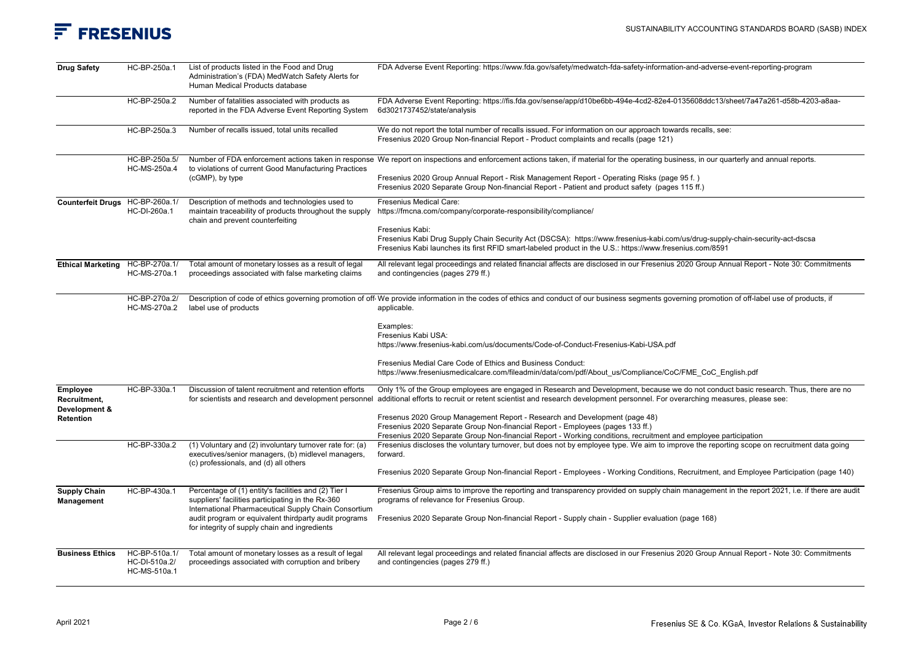## $F$  FRESENIUS

| <b>Drug Safety</b>                        | HC-BP-250a.1                                   | List of products listed in the Food and Drug<br>Administration's (FDA) MedWatch Safety Alerts for<br>Human Medical Products database                              | FDA Adverse Event Reporting: https://www.fda.gov/safety/medwatch-fda-safety-information-and-adverse-event-reporting-program                                                                                                                                                                                               |
|-------------------------------------------|------------------------------------------------|-------------------------------------------------------------------------------------------------------------------------------------------------------------------|---------------------------------------------------------------------------------------------------------------------------------------------------------------------------------------------------------------------------------------------------------------------------------------------------------------------------|
|                                           | HC-BP-250a.2                                   | Number of fatalities associated with products as<br>reported in the FDA Adverse Event Reporting System                                                            | FDA Adverse Event Reporting: https://fis.fda.gov/sense/app/d10be6bb-494e-4cd2-82e4-0135608ddc13/sheet/7a47a261-d58b-4203-a8aa-<br>6d3021737452/state/analysis                                                                                                                                                             |
|                                           | HC-BP-250a.3                                   | Number of recalls issued, total units recalled                                                                                                                    | We do not report the total number of recalls issued. For information on our approach towards recalls, see:<br>Fresenius 2020 Group Non-financial Report - Product complaints and recalls (page 121)                                                                                                                       |
|                                           | HC-BP-250a.5/<br>HC-MS-250a.4                  | to violations of current Good Manufacturing Practices                                                                                                             | Number of FDA enforcement actions taken in response We report on inspections and enforcement actions taken, if material for the operating business, in our quarterly and annual reports.                                                                                                                                  |
|                                           |                                                | (cGMP), by type                                                                                                                                                   | Fresenius 2020 Group Annual Report - Risk Management Report - Operating Risks (page 95 f.)<br>Fresenius 2020 Separate Group Non-financial Report - Patient and product safety (pages 115 ff.)                                                                                                                             |
| Counterfeit Drugs HC-BP-260a.1/           | HC-DI-260a.1                                   | Description of methods and technologies used to<br>maintain traceability of products throughout the supply<br>chain and prevent counterfeiting                    | Fresenius Medical Care:<br>https://fmcna.com/company/corporate-responsibility/compliance/                                                                                                                                                                                                                                 |
|                                           |                                                |                                                                                                                                                                   | Fresenius Kabi:<br>Fresenius Kabi Drug Supply Chain Security Act (DSCSA): https://www.fresenius-kabi.com/us/drug-supply-chain-security-act-dscsa<br>Fresenius Kabi launches its first RFID smart-labeled product in the U.S.: https://www.fresenius.com/8591                                                              |
| <b>Ethical Marketing</b>                  | HC-BP-270a.1/<br>HC-MS-270a.1                  | Total amount of monetary losses as a result of legal<br>proceedings associated with false marketing claims                                                        | All relevant legal proceedings and related financial affects are disclosed in our Fresenius 2020 Group Annual Report - Note 30: Commitments<br>and contingencies (pages 279 ff.)                                                                                                                                          |
|                                           | HC-BP-270a.2/<br>HC-MS-270a.2                  | label use of products                                                                                                                                             | Description of code of ethics governing promotion of off We provide information in the codes of ethics and conduct of our business segments governing promotion of off-label use of products, if<br>applicable.                                                                                                           |
|                                           |                                                |                                                                                                                                                                   | Examples:<br>Fresenius Kabi USA:<br>https://www.fresenius-kabi.com/us/documents/Code-of-Conduct-Fresenius-Kabi-USA.pdf                                                                                                                                                                                                    |
|                                           |                                                |                                                                                                                                                                   | Fresenius Medial Care Code of Ethics and Business Conduct:<br>https://www.freseniusmedicalcare.com/fileadmin/data/com/pdf/About us/Compliance/CoC/FME CoC English.pdf                                                                                                                                                     |
| Employee<br>Recruitment,<br>Development & | HC-BP-330a.1                                   | Discussion of talent recruitment and retention efforts                                                                                                            | Only 1% of the Group employees are engaged in Research and Development, because we do not conduct basic research. Thus, there are no<br>for scientists and research and development personnel additional efforts to recruit or retent scientist and research development personnel. For overarching measures, please see: |
| Retention                                 |                                                |                                                                                                                                                                   | Fresenus 2020 Group Management Report - Research and Development (page 48)<br>Fresenius 2020 Separate Group Non-financial Report - Employees (pages 133 ff.)<br>Fresenius 2020 Separate Group Non-financial Report - Working conditions, recruitment and employee participation                                           |
|                                           | HC-BP-330a.2                                   | (1) Voluntary and (2) involuntary turnover rate for: (a)<br>executives/senior managers, (b) midlevel managers,<br>(c) professionals, and (d) all others           | Fresenius discloses the voluntary turnover, but does not by employee type. We aim to improve the reporting scope on recruitment data going<br>forward.                                                                                                                                                                    |
|                                           |                                                |                                                                                                                                                                   | Fresenius 2020 Separate Group Non-financial Report - Employees - Working Conditions, Recruitment, and Employee Participation (page 140)                                                                                                                                                                                   |
| <b>Supply Chain</b><br><b>Management</b>  | HC-BP-430a.1                                   | Percentage of (1) entity's facilities and (2) Tier I<br>suppliers' facilities participating in the Rx-360<br>International Pharmaceutical Supply Chain Consortium | Fresenius Group aims to improve the reporting and transparency provided on supply chain management in the report 2021, i.e. if there are audit<br>programs of relevance for Fresenius Group.                                                                                                                              |
|                                           |                                                | audit program or equivalent thirdparty audit programs<br>for integrity of supply chain and ingredients                                                            | Fresenius 2020 Separate Group Non-financial Report - Supply chain - Supplier evaluation (page 168)                                                                                                                                                                                                                        |
| <b>Business Ethics</b>                    | HC-BP-510a.1/<br>HC-DI-510a.2/<br>HC-MS-510a.1 | Total amount of monetary losses as a result of legal<br>proceedings associated with corruption and bribery                                                        | All relevant legal proceedings and related financial affects are disclosed in our Fresenius 2020 Group Annual Report - Note 30: Commitments<br>and contingencies (pages 279 ff.)                                                                                                                                          |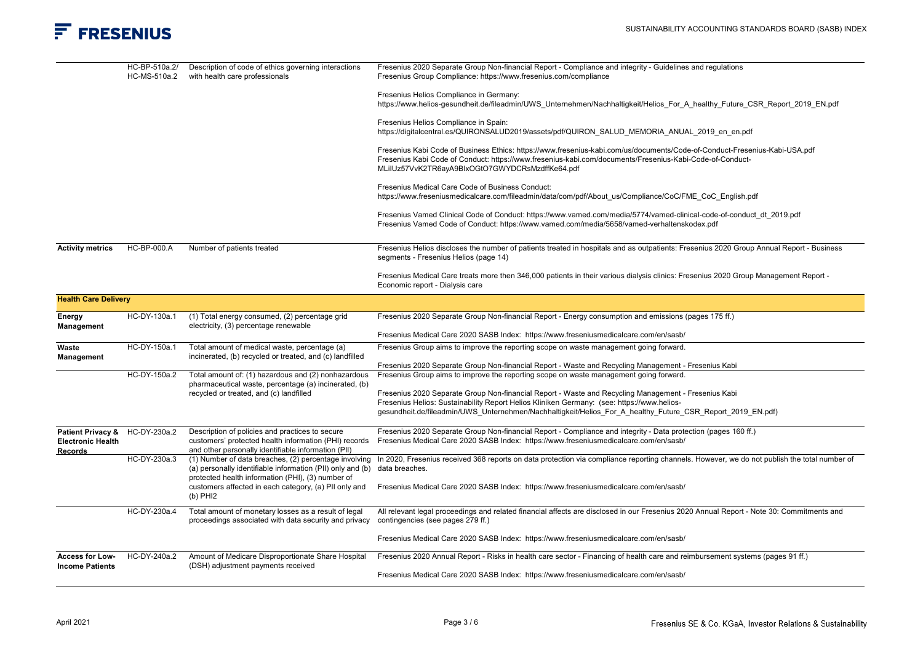## $F$  FRESENIUS

|                                               | HC-BP-510a.2/<br>HC-MS-510a.2 | Description of code of ethics governing interactions<br>with health care professionals                                                                          | Fresenius 2020 Separate Group Non-financial Report - Compliance and integrity - Guidelines and regulations<br>Fresenius Group Compliance: https://www.fresenius.com/compliance                                                                                                            |
|-----------------------------------------------|-------------------------------|-----------------------------------------------------------------------------------------------------------------------------------------------------------------|-------------------------------------------------------------------------------------------------------------------------------------------------------------------------------------------------------------------------------------------------------------------------------------------|
|                                               |                               |                                                                                                                                                                 | Fresenius Helios Compliance in Germany:<br>https://www.helios-gesundheit.de/fileadmin/UWS Unternehmen/Nachhaltigkeit/Helios For A healthy Future CSR Report 2019 EN.pdf                                                                                                                   |
|                                               |                               |                                                                                                                                                                 | Fresenius Helios Compliance in Spain:<br>https://digitalcentral.es/QUIRONSALUD2019/assets/pdf/QUIRON SALUD MEMORIA ANUAL 2019 en en.pdf                                                                                                                                                   |
|                                               |                               |                                                                                                                                                                 | Fresenius Kabi Code of Business Ethics: https://www.fresenius-kabi.com/us/documents/Code-of-Conduct-Fresenius-Kabi-USA.pdf<br>Fresenius Kabi Code of Conduct: https://www.fresenius-kabi.com/documents/Fresenius-Kabi-Code-of-Conduct-<br>MLiIUz57VvK2TR6ayA9BIxOGtO7GWYDCRsMzdffKe64.pdf |
|                                               |                               |                                                                                                                                                                 | Fresenius Medical Care Code of Business Conduct:<br>https://www.freseniusmedicalcare.com/fileadmin/data/com/pdf/About us/Compliance/CoC/FME CoC English.pdf                                                                                                                               |
|                                               |                               |                                                                                                                                                                 | Fresenius Vamed Clinical Code of Conduct: https://www.vamed.com/media/5774/vamed-clinical-code-of-conduct dt 2019.pdf<br>Fresenius Vamed Code of Conduct: https://www.vamed.com/media/5658/vamed-verhaltenskodex.pdf                                                                      |
| <b>Activity metrics</b>                       | HC-BP-000.A                   | Number of patients treated                                                                                                                                      | Fresenius Helios discloses the number of patients treated in hospitals and as outpatients: Fresenius 2020 Group Annual Report - Business<br>segments - Fresenius Helios (page 14)                                                                                                         |
|                                               |                               |                                                                                                                                                                 | Fresenius Medical Care treats more then 346,000 patients in their various dialysis clinics: Fresenius 2020 Group Management Report -<br>Economic report - Dialysis care                                                                                                                   |
| <b>Health Care Delivery</b>                   |                               |                                                                                                                                                                 |                                                                                                                                                                                                                                                                                           |
| Energy<br>Management                          | HC-DY-130a.1                  | (1) Total energy consumed, (2) percentage grid<br>electricity, (3) percentage renewable                                                                         | Fresenius 2020 Separate Group Non-financial Report - Energy consumption and emissions (pages 175 ff.)                                                                                                                                                                                     |
|                                               |                               |                                                                                                                                                                 | Fresenius Medical Care 2020 SASB Index: https://www.freseniusmedicalcare.com/en/sasb/                                                                                                                                                                                                     |
| Waste<br>Management                           | HC-DY-150a.1                  | Total amount of medical waste, percentage (a)<br>incinerated, (b) recycled or treated, and (c) landfilled                                                       | Fresenius Group aims to improve the reporting scope on waste management going forward.                                                                                                                                                                                                    |
|                                               | HC-DY-150a.2                  | Total amount of: (1) hazardous and (2) nonhazardous                                                                                                             | Fresenius 2020 Separate Group Non-financial Report - Waste and Recycling Management - Fresenius Kabi<br>Fresenius Group aims to improve the reporting scope on waste management going forward.                                                                                            |
|                                               |                               | pharmaceutical waste, percentage (a) incinerated, (b)                                                                                                           |                                                                                                                                                                                                                                                                                           |
|                                               |                               | recycled or treated, and (c) landfilled                                                                                                                         | Fresenius 2020 Separate Group Non-financial Report - Waste and Recycling Management - Fresenius Kabi                                                                                                                                                                                      |
|                                               |                               |                                                                                                                                                                 | Fresenius Helios: Sustainability Report Helios Kliniken Germany: (see: https://www.helios-<br>gesundheit.de/fileadmin/UWS Unternehmen/Nachhaltigkeit/Helios For A healthy Future CSR Report 2019 EN.pdf)                                                                                  |
|                                               |                               |                                                                                                                                                                 |                                                                                                                                                                                                                                                                                           |
| Patient Privacy &<br><b>Electronic Health</b> | HC-DY-230a.2                  | Description of policies and practices to secure<br>customers' protected health information (PHI) records<br>and other personally identifiable information (PII) | Fresenius 2020 Separate Group Non-financial Report - Compliance and integrity - Data protection (pages 160 ff.)<br>Fresenius Medical Care 2020 SASB Index: https://www.freseniusmedicalcare.com/en/sasb/                                                                                  |
| Records                                       | HC-DY-230a.3                  | (1) Number of data breaches, (2) percentage involving<br>(a) personally identifiable information (PII) only and (b) data breaches.                              | In 2020, Fresenius received 368 reports on data protection via compliance reporting channels. However, we do not publish the total number of                                                                                                                                              |
|                                               |                               | protected health information (PHI), (3) number of<br>customers affected in each category, (a) PII only and<br>$(b)$ PHI2                                        | Fresenius Medical Care 2020 SASB Index: https://www.freseniusmedicalcare.com/en/sasb/                                                                                                                                                                                                     |
|                                               | HC-DY-230a.4                  | Total amount of monetary losses as a result of legal<br>proceedings associated with data security and privacy                                                   | All relevant legal proceedings and related financial affects are disclosed in our Fresenius 2020 Annual Report - Note 30: Commitments and<br>contingencies (see pages 279 ff.)                                                                                                            |
|                                               |                               |                                                                                                                                                                 | Fresenius Medical Care 2020 SASB Index: https://www.freseniusmedicalcare.com/en/sasb/                                                                                                                                                                                                     |
| <b>Access for Low-</b>                        | HC-DY-240a.2                  | Amount of Medicare Disproportionate Share Hospital                                                                                                              | Fresenius 2020 Annual Report - Risks in health care sector - Financing of health care and reimbursement systems (pages 91 ff.)                                                                                                                                                            |
| <b>Income Patients</b>                        |                               | (DSH) adjustment payments received                                                                                                                              | Fresenius Medical Care 2020 SASB Index: https://www.freseniusmedicalcare.com/en/sasb/                                                                                                                                                                                                     |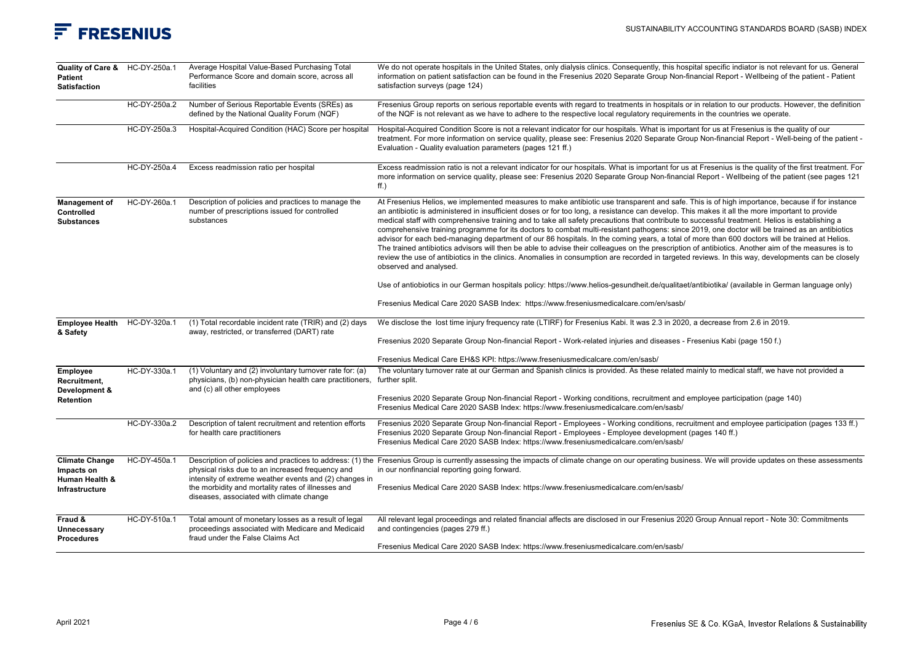

| Quality of Care & HC-DY-250a.1<br><b>Patient</b><br><b>Satisfaction</b>        |              | Average Hospital Value-Based Purchasing Total<br>Performance Score and domain score, across all<br>facilities                                                                                                | We do not operate hospitals in the United States, only dialysis clinics. Consequently, this hospital specific indiator is not relevant for us. General<br>information on patient satisfaction can be found in the Fresenius 2020 Separate Group Non-financial Report - Wellbeing of the patient - Patient<br>satisfaction surveys (page 124)                                                                                                                                                                                                                                                                                                                                                                                                                                                                                                                                                                                                                                                                                                                                                |
|--------------------------------------------------------------------------------|--------------|--------------------------------------------------------------------------------------------------------------------------------------------------------------------------------------------------------------|---------------------------------------------------------------------------------------------------------------------------------------------------------------------------------------------------------------------------------------------------------------------------------------------------------------------------------------------------------------------------------------------------------------------------------------------------------------------------------------------------------------------------------------------------------------------------------------------------------------------------------------------------------------------------------------------------------------------------------------------------------------------------------------------------------------------------------------------------------------------------------------------------------------------------------------------------------------------------------------------------------------------------------------------------------------------------------------------|
|                                                                                | HC-DY-250a.2 | Number of Serious Reportable Events (SREs) as<br>defined by the National Quality Forum (NQF)                                                                                                                 | Fresenius Group reports on serious reportable events with regard to treatments in hospitals or in relation to our products. However, the definition<br>of the NQF is not relevant as we have to adhere to the respective local regulatory requirements in the countries we operate.                                                                                                                                                                                                                                                                                                                                                                                                                                                                                                                                                                                                                                                                                                                                                                                                         |
|                                                                                | HC-DY-250a.3 | Hospital-Acquired Condition (HAC) Score per hospital                                                                                                                                                         | Hospital-Acquired Condition Score is not a relevant indicator for our hospitals. What is important for us at Fresenius is the quality of our<br>treatment. For more information on service quality, please see: Fresenius 2020 Separate Group Non-financial Report - Well-being of the patient -<br>Evaluation - Quality evaluation parameters (pages 121 ff.)                                                                                                                                                                                                                                                                                                                                                                                                                                                                                                                                                                                                                                                                                                                              |
|                                                                                | HC-DY-250a.4 | Excess readmission ratio per hospital                                                                                                                                                                        | Excess readmission ratio is not a relevant indicator for our hospitals. What is important for us at Fresenius is the quality of the first treatment. For<br>more information on service quality, please see: Fresenius 2020 Separate Group Non-financial Report - Wellbeing of the patient (see pages 121<br>ff.)                                                                                                                                                                                                                                                                                                                                                                                                                                                                                                                                                                                                                                                                                                                                                                           |
| <b>Management of</b><br><b>Controlled</b><br><b>Substances</b>                 | HC-DY-260a.1 | Description of policies and practices to manage the<br>number of prescriptions issued for controlled<br>substances                                                                                           | At Fresenius Helios, we implemented measures to make antibiotic use transparent and safe. This is of high importance, because if for instance<br>an antibiotic is administered in insufficient doses or for too long, a resistance can develop. This makes it all the more important to provide<br>medical staff with comprehensive training and to take all safety precautions that contribute to successful treatment. Helios is establishing a<br>comprehensive training programme for its doctors to combat multi-resistant pathogens: since 2019, one doctor will be trained as an antibiotics<br>advisor for each bed-managing department of our 86 hospitals. In the coming years, a total of more than 600 doctors will be trained at Helios.<br>The trained antibiotics advisors will then be able to advise their colleagues on the prescription of antibiotics. Another aim of the measures is to<br>review the use of antibiotics in the clinics. Anomalies in consumption are recorded in targeted reviews. In this way, developments can be closely<br>observed and analysed. |
|                                                                                |              |                                                                                                                                                                                                              | Use of antiobiotics in our German hospitals policy: https://www.helios-gesundheit.de/qualitaet/antibiotika/ (available in German language only)                                                                                                                                                                                                                                                                                                                                                                                                                                                                                                                                                                                                                                                                                                                                                                                                                                                                                                                                             |
|                                                                                |              |                                                                                                                                                                                                              | Fresenius Medical Care 2020 SASB Index: https://www.freseniusmedicalcare.com/en/sasb/                                                                                                                                                                                                                                                                                                                                                                                                                                                                                                                                                                                                                                                                                                                                                                                                                                                                                                                                                                                                       |
| <b>Employee Health</b>                                                         | HC-DY-320a.1 | (1) Total recordable incident rate (TRIR) and (2) days<br>away, restricted, or transferred (DART) rate                                                                                                       | We disclose the lost time injury frequency rate (LTIRF) for Fresenius Kabi. It was 2.3 in 2020, a decrease from 2.6 in 2019.                                                                                                                                                                                                                                                                                                                                                                                                                                                                                                                                                                                                                                                                                                                                                                                                                                                                                                                                                                |
| & Safety                                                                       |              |                                                                                                                                                                                                              | Fresenius 2020 Separate Group Non-financial Report - Work-related injuries and diseases - Fresenius Kabi (page 150 f.)                                                                                                                                                                                                                                                                                                                                                                                                                                                                                                                                                                                                                                                                                                                                                                                                                                                                                                                                                                      |
|                                                                                |              |                                                                                                                                                                                                              | Fresenius Medical Care EH&S KPI: https://www.freseniusmedicalcare.com/en/sasb/                                                                                                                                                                                                                                                                                                                                                                                                                                                                                                                                                                                                                                                                                                                                                                                                                                                                                                                                                                                                              |
| <b>Employee</b><br>Recruitment,<br>Development &                               | HC-DY-330a.1 | (1) Voluntary and (2) involuntary turnover rate for: (a)<br>physicians, (b) non-physician health care practitioners,<br>and (c) all other employees                                                          | The voluntary turnover rate at our German and Spanish clinics is provided. As these related mainly to medical staff, we have not provided a<br>further split.                                                                                                                                                                                                                                                                                                                                                                                                                                                                                                                                                                                                                                                                                                                                                                                                                                                                                                                               |
| <b>Retention</b>                                                               |              |                                                                                                                                                                                                              | Fresenius 2020 Separate Group Non-financial Report - Working conditions, recruitment and employee participation (page 140)<br>Fresenius Medical Care 2020 SASB Index: https://www.freseniusmedicalcare.com/en/sasb/                                                                                                                                                                                                                                                                                                                                                                                                                                                                                                                                                                                                                                                                                                                                                                                                                                                                         |
|                                                                                | HC-DY-330a.2 | Description of talent recruitment and retention efforts<br>for health care practitioners                                                                                                                     | Fresenius 2020 Separate Group Non-financial Report - Employees - Working conditions, recruitment and employee participation (pages 133 ff.)<br>Fresenius 2020 Separate Group Non-financial Report - Employees - Employee development (pages 140 ff.)<br>Fresenius Medical Care 2020 SASB Index: https://www.freseniusmedicalcare.com/en/sasb/                                                                                                                                                                                                                                                                                                                                                                                                                                                                                                                                                                                                                                                                                                                                               |
| <b>Climate Change</b><br>Impacts on<br>Human Health &<br><b>Infrastructure</b> | HC-DY-450a.1 | physical risks due to an increased frequency and<br>intensity of extreme weather events and (2) changes in<br>the morbidity and mortality rates of illnesses and<br>diseases, associated with climate change | Description of policies and practices to address: (1) the Fresenius Group is currently assessing the impacts of climate change on our operating business. We will provide updates on these assessments<br>in our nonfinancial reporting going forward.<br>Fresenius Medical Care 2020 SASB Index: https://www.freseniusmedicalcare.com/en/sasb/                                                                                                                                                                                                                                                                                                                                                                                                                                                                                                                                                                                                                                                                                                                                             |
| Fraud &<br><b>Unnecessary</b><br><b>Procedures</b>                             | HC-DY-510a.1 | Total amount of monetary losses as a result of legal<br>proceedings associated with Medicare and Medicaid<br>fraud under the False Claims Act                                                                | All relevant legal proceedings and related financial affects are disclosed in our Fresenius 2020 Group Annual report - Note 30: Commitments<br>and contingencies (pages 279 ff.)<br>Fresenius Medical Care 2020 SASB Index: https://www.freseniusmedicalcare.com/en/sasb/                                                                                                                                                                                                                                                                                                                                                                                                                                                                                                                                                                                                                                                                                                                                                                                                                   |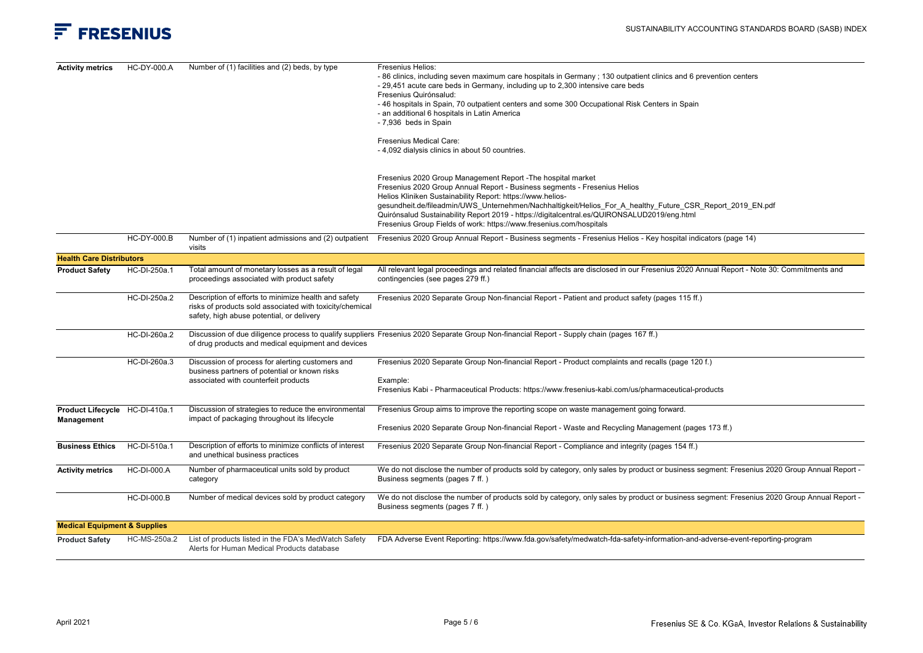| <b>Activity metrics</b>                      | HC-DY-000.A        | Number of (1) facilities and (2) beds, by type                                                                                                                | Fresenius Helios:<br>-86 clinics, including seven maximum care hospitals in Germany; 130 outpatient clinics and 6 prevention centers<br>- 29,451 acute care beds in Germany, including up to 2,300 intensive care beds<br>Fresenius Quirónsalud:<br>-46 hospitals in Spain, 70 outpatient centers and some 300 Occupational Risk Centers in Spain<br>- an additional 6 hospitals in Latin America<br>- 7,936 beds in Spain<br><b>Fresenius Medical Care:</b><br>- 4,092 dialysis clinics in about 50 countries.<br>Fresenius 2020 Group Management Report - The hospital market |
|----------------------------------------------|--------------------|---------------------------------------------------------------------------------------------------------------------------------------------------------------|---------------------------------------------------------------------------------------------------------------------------------------------------------------------------------------------------------------------------------------------------------------------------------------------------------------------------------------------------------------------------------------------------------------------------------------------------------------------------------------------------------------------------------------------------------------------------------|
|                                              |                    |                                                                                                                                                               | Fresenius 2020 Group Annual Report - Business segments - Fresenius Helios<br>Helios Kliniken Sustainability Report: https://www.helios-<br>gesundheit.de/fileadmin/UWS Unternehmen/Nachhaltigkeit/Helios For A healthy Future CSR Report 2019 EN.pdf<br>Quirónsalud Sustainability Report 2019 - https://digitalcentral.es/QUIRONSALUD2019/eng.html<br>Fresenius Group Fields of work: https://www.fresenius.com/hospitals                                                                                                                                                      |
|                                              | <b>HC-DY-000.B</b> | Number of (1) inpatient admissions and (2) outpatient<br>visits                                                                                               | Fresenius 2020 Group Annual Report - Business segments - Fresenius Helios - Key hospital indicators (page 14)                                                                                                                                                                                                                                                                                                                                                                                                                                                                   |
| <b>Health Care Distributors</b>              |                    |                                                                                                                                                               |                                                                                                                                                                                                                                                                                                                                                                                                                                                                                                                                                                                 |
| <b>Product Safety</b>                        | HC-DI-250a.1       | Total amount of monetary losses as a result of legal<br>proceedings associated with product safety                                                            | All relevant legal proceedings and related financial affects are disclosed in our Fresenius 2020 Annual Report - Note 30: Commitments and<br>contingencies (see pages 279 ff.)                                                                                                                                                                                                                                                                                                                                                                                                  |
|                                              | HC-DI-250a.2       | Description of efforts to minimize health and safety<br>risks of products sold associated with toxicity/chemical<br>safety, high abuse potential, or delivery | Fresenius 2020 Separate Group Non-financial Report - Patient and product safety (pages 115 ff.)                                                                                                                                                                                                                                                                                                                                                                                                                                                                                 |
|                                              | HC-DI-260a.2       | of drug products and medical equipment and devices                                                                                                            | Discussion of due diligence process to qualify suppliers Fresenius 2020 Separate Group Non-financial Report - Supply chain (pages 167 ff.)                                                                                                                                                                                                                                                                                                                                                                                                                                      |
|                                              | HC-DI-260a.3       | Discussion of process for alerting customers and<br>business partners of potential or known risks<br>associated with counterfeit products                     | Fresenius 2020 Separate Group Non-financial Report - Product complaints and recalls (page 120 f.)<br>Example:<br>Fresenius Kabi - Pharmaceutical Products: https://www.fresenius-kabi.com/us/pharmaceutical-products                                                                                                                                                                                                                                                                                                                                                            |
| Product Lifecycle HC-DI-410a.1<br>Management |                    | Discussion of strategies to reduce the environmental<br>impact of packaging throughout its lifecycle                                                          | Fresenius Group aims to improve the reporting scope on waste management going forward.<br>Fresenius 2020 Separate Group Non-financial Report - Waste and Recycling Management (pages 173 ff.)                                                                                                                                                                                                                                                                                                                                                                                   |
| <b>Business Ethics</b>                       | HC-DI-510a.1       | Description of efforts to minimize conflicts of interest<br>and unethical business practices                                                                  | Fresenius 2020 Separate Group Non-financial Report - Compliance and integrity (pages 154 ff.)                                                                                                                                                                                                                                                                                                                                                                                                                                                                                   |
| <b>Activity metrics</b>                      | <b>HC-DI-000.A</b> | Number of pharmaceutical units sold by product<br>category                                                                                                    | We do not disclose the number of products sold by category, only sales by product or business segment: Fresenius 2020 Group Annual Report -<br>Business segments (pages 7 ff.)                                                                                                                                                                                                                                                                                                                                                                                                  |
|                                              | <b>HC-DI-000.B</b> | Number of medical devices sold by product category                                                                                                            | We do not disclose the number of products sold by category, only sales by product or business segment: Fresenius 2020 Group Annual Report -<br>Business segments (pages 7 ff.)                                                                                                                                                                                                                                                                                                                                                                                                  |
| <b>Medical Equipment &amp; Supplies</b>      |                    |                                                                                                                                                               |                                                                                                                                                                                                                                                                                                                                                                                                                                                                                                                                                                                 |
| <b>Product Safety</b>                        | HC-MS-250a.2       | List of products listed in the FDA's MedWatch Safety<br>Alerts for Human Medical Products database                                                            | FDA Adverse Event Reporting: https://www.fda.gov/safety/medwatch-fda-safety-information-and-adverse-event-reporting-program                                                                                                                                                                                                                                                                                                                                                                                                                                                     |
|                                              |                    |                                                                                                                                                               |                                                                                                                                                                                                                                                                                                                                                                                                                                                                                                                                                                                 |